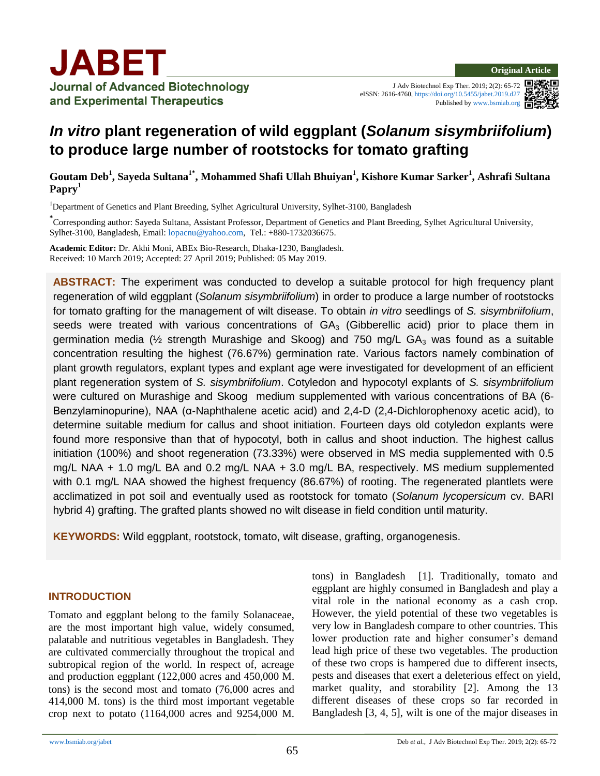J Adv Biotechnol Exp Ther. 2019; 2(2): 65-72 eISSN: 2616-4760[, https://doi.org/10.5455/jabet.2019.d27](https://doi.org/10.5455/jabet.2019.d27) Published b[y www.bsmiab.org](http://www.bsmiab.org/)



# *In vitro* **plant regeneration of wild eggplant (***Solanum sisymbriifolium***) to produce large number of rootstocks for tomato grafting**

**Goutam Deb<sup>1</sup> , Sayeda Sultana1\*, Mohammed Shafi Ullah Bhuiyan<sup>1</sup> , Kishore Kumar Sarker<sup>1</sup> , Ashrafi Sultana Papry<sup>1</sup>**

<sup>1</sup>Department of Genetics and Plant Breeding, Sylhet Agricultural University, Sylhet-3100, Bangladesh

**\***<br>
Corresponding author: Sayeda Sultana, Assistant Professor, Department of Genetics and Plant Breeding, Sylhet Agricultural University, Sylhet-3100, Bangladesh, Email: [lopacnu@yahoo.com,](mailto:lopacnu@yahoo.com) Tel.: +880-1732036675.

**Academic Editor:** Dr. Akhi Moni, ABEx Bio-Research, Dhaka-1230, Bangladesh. Received: 10 March 2019; Accepted: 27 April 2019; Published: 05 May 2019.

**ABSTRACT:** The experiment was conducted to develop a suitable protocol for high frequency plant regeneration of wild eggplant (*Solanum sisymbriifolium*) in order to produce a large number of rootstocks for tomato grafting for the management of wilt disease. To obtain *in vitro* seedlings of *S. sisymbriifolium*, seeds were treated with various concentrations of  $GA_3$  (Gibberellic acid) prior to place them in germination media ( $\frac{1}{2}$  strength Murashige and Skoog) and 750 mg/L GA<sub>3</sub> was found as a suitable concentration resulting the highest (76.67%) germination rate. Various factors namely combination of plant growth regulators, explant types and explant age were investigated for development of an efficient plant regeneration system of *S. sisymbriifolium*. Cotyledon and hypocotyl explants of *S. sisymbriifolium* were cultured on Murashige and Skoog medium supplemented with various concentrations of BA (6- Benzylaminopurine), NAA (α-Naphthalene acetic acid) and 2,4-D (2,4-Dichlorophenoxy acetic acid), to determine suitable medium for callus and shoot initiation. Fourteen days old cotyledon explants were found more responsive than that of hypocotyl, both in callus and shoot induction. The highest callus initiation (100%) and shoot regeneration (73.33%) were observed in MS media supplemented with 0.5 mg/L NAA + 1.0 mg/L BA and 0.2 mg/L NAA + 3.0 mg/L BA, respectively. MS medium supplemented with 0.1 mg/L NAA showed the highest frequency (86.67%) of rooting. The regenerated plantlets were acclimatized in pot soil and eventually used as rootstock for tomato (*Solanum lycopersicum* cv. BARI hybrid 4) grafting. The grafted plants showed no wilt disease in field condition until maturity.

**KEYWORDS:** Wild eggplant, rootstock, tomato, wilt disease, grafting, organogenesis.

### **INTRODUCTION**

Tomato and eggplant belong to the family Solanaceae, are the most important high value, widely consumed, palatable and nutritious vegetables in Bangladesh. They are cultivated commercially throughout the tropical and subtropical region of the world. In respect of, acreage and production eggplant (122,000 acres and 450,000 M. tons) is the second most and tomato (76,000 acres and 414,000 M. tons) is the third most important vegetable crop next to potato (1164,000 acres and 9254,000 M. tons) in Bangladesh [1]. Traditionally, tomato and eggplant are highly consumed in Bangladesh and play a vital role in the national economy as a cash crop. However, the yield potential of these two vegetables is very low in Bangladesh compare to other countries. This lower production rate and higher consumer's demand lead high price of these two vegetables. The production of these two crops is hampered due to different insects, pests and diseases that exert a deleterious effect on yield, market quality, and storability [2]. Among the 13 different diseases of these crops so far recorded in Bangladesh [3*,* 4, 5], wilt is one of the major diseases in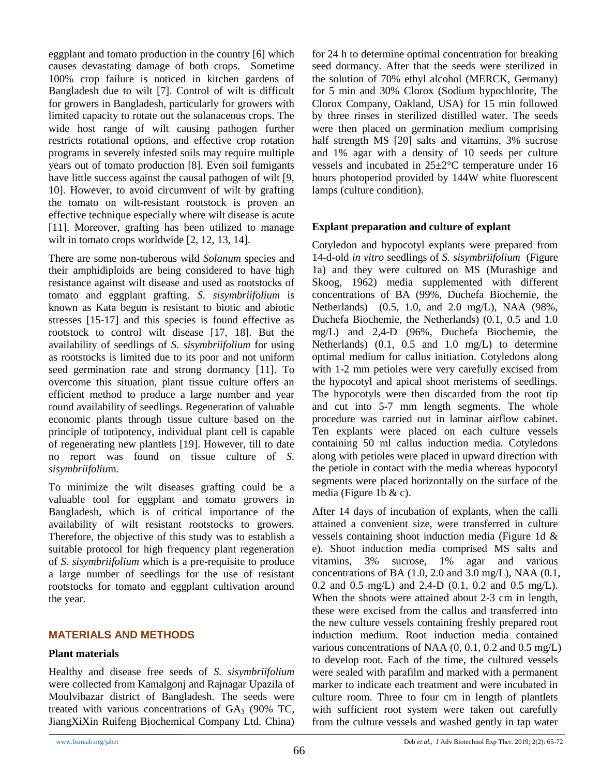eggplant and tomato production in the country [6] which causes devastating damage of both crops. Sometime 100% crop failure is noticed in kitchen gardens of Bangladesh due to wilt [7]. Control of wilt is difficult for growers in Bangladesh, particularly for growers with limited capacity to rotate out the solanaceous crops. The wide host range of wilt causing pathogen further restricts rotational options, and effective crop rotation programs in severely infested soils may require multiple years out of tomato production [8]. Even soil fumigants have little success against the causal pathogen of wilt [9, 10]. However, to avoid circumvent of wilt by grafting the tomato on wilt-resistant rootstock is proven an effective technique especially where wilt disease is acute [11]. Moreover, grafting has been utilized to manage wilt in tomato crops worldwide [2, 12, 13, 14].

There are some non-tuberous wild *Solanum* species and their amphidiploids are being considered to have high resistance against wilt disease and used as rootstocks of tomato and eggplant grafting. *S. sisymbriifolium* is known as Kata begun is resistant to biotic and abiotic stresses [15-17] and this species is found effective as rootstock to control wilt disease [17, 18]. But the availability of seedlings of *S. sisymbriifolium* for using as rootstocks is limited due to its poor and not uniform seed germination rate and strong dormancy [11]. To overcome this situation, plant tissue culture offers an efficient method to produce a large number and year round availability of seedlings. Regeneration of valuable economic plants through tissue culture based on the principle of totipotency, individual plant cell is capable of regenerating new plantlets [19]. However, till to date no report was found on tissue culture of *S. sisymbriifoliu*m.

To minimize the wilt diseases grafting could be a valuable tool for eggplant and tomato growers in Bangladesh, which is of critical importance of the availability of wilt resistant rootstocks to growers. Therefore, the objective of this study was to establish a suitable protocol for high frequency plant regeneration of *S. sisymbriifolium* which is a pre-requisite to produce a large number of seedlings for the use of resistant rootstocks for tomato and eggplant cultivation around the year.

# **MATERIALS AND METHODS**

# **Plant materials**

Healthy and disease free seeds of *S. sisymbriifolium* were collected from Kamalgonj and Rajnagar Upazila of Moulvibazar district of Bangladesh. The seeds were treated with various concentrations of  $GA_3$  (90% TC, JiangXiXin Ruifeng Biochemical Company Ltd. China) for 24 h to determine optimal concentration for breaking seed dormancy. After that the seeds were sterilized in the solution of 70% ethyl alcohol (MERCK, Germany) for 5 min and 30% Clorox (Sodium hypochlorite, The Clorox Company, Oakland, USA) for 15 min followed by three rinses in sterilized distilled water. The seeds were then placed on germination medium comprising half strength MS [20] salts and vitamins, 3% sucrose and 1% agar with a density of 10 seeds per culture vessels and incubated in 25±2°C temperature under 16 hours photoperiod provided by 144W white fluorescent lamps (culture condition).

# **Explant preparation and culture of explant**

Cotyledon and hypocotyl explants were prepared from 14-d-old *in vitro* seedlings of *S. sisymbriifolium* (Figure 1a) and they were cultured on MS (Murashige and Skoog, 1962) media supplemented with different concentrations of BA (99%, Duchefa Biochemie, the Netherlands) (0.5, 1.0, and 2.0 mg/L), NAA (98%, Duchefa Biochemie, the Netherlands) (0.1, 0.5 and 1.0 mg/L) and 2,4-D (96%, Duchefa Biochemie, the Netherlands) (0.1, 0.5 and 1.0 mg/L) to determine optimal medium for callus initiation. Cotyledons along with 1-2 mm petioles were very carefully excised from the hypocotyl and apical shoot meristems of seedlings. The hypocotyls were then discarded from the root tip and cut into 5-7 mm length segments. The whole procedure was carried out in laminar airflow cabinet. Ten explants were placed on each culture vessels containing 50 ml callus induction media. Cotyledons along with petioles were placed in upward direction with the petiole in contact with the media whereas hypocotyl segments were placed horizontally on the surface of the media (Figure 1b & c).

After 14 days of incubation of explants, when the calli attained a convenient size, were transferred in culture vessels containing shoot induction media (Figure 1d & e). Shoot induction media comprised MS salts and vitamins, 3% sucrose, 1% agar and various concentrations of BA  $(1.0, 2.0 \text{ and } 3.0 \text{ mg/L})$ , NAA  $(0.1, 1.0 \text{ g})$ 0.2 and 0.5 mg/L) and 2,4-D (0.1, 0.2 and 0.5 mg/L). When the shoots were attained about 2-3 cm in length, these were excised from the callus and transferred into the new culture vessels containing freshly prepared root induction medium. Root induction media contained various concentrations of NAA (0, 0.1, 0.2 and 0.5 mg/L) to develop root. Each of the time, the cultured vessels were sealed with parafilm and marked with a permanent marker to indicate each treatment and were incubated in culture room. Three to four cm in length of plantlets with sufficient root system were taken out carefully from the culture vessels and washed gently in tap water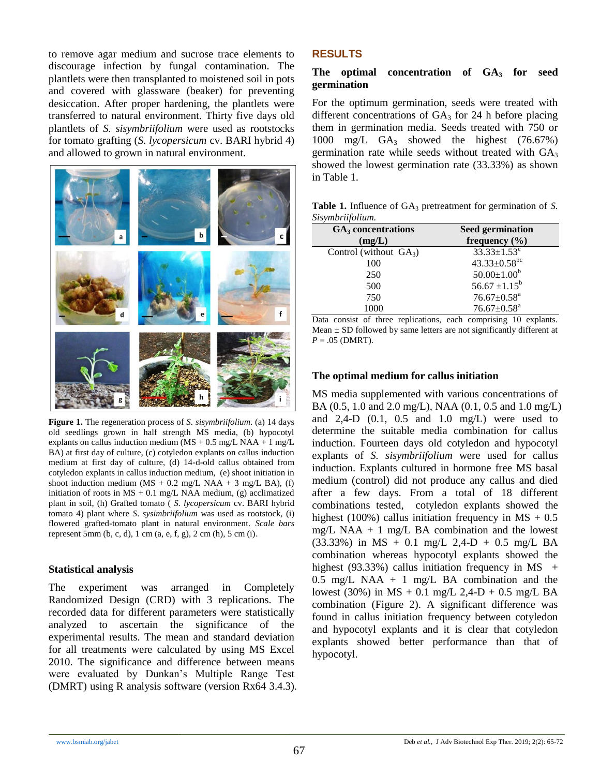to remove agar medium and sucrose trace elements to discourage infection by fungal contamination. The plantlets were then transplanted to moistened soil in pots and covered with glassware (beaker) for preventing desiccation. After proper hardening, the plantlets were transferred to natural environment. Thirty five days old plantlets of *S. sisymbriifolium* were used as rootstocks for tomato grafting (*S. lycopersicum* cv. BARI hybrid 4) and allowed to grown in natural environment.



**Figure 1.** The regeneration process of *S. sisymbriifolium*. (a) 14 days old seedlings grown in half strength MS media, (b) hypocotyl explants on callus induction medium ( $\text{MS} + 0.5$  mg/L NAA + 1 mg/L BA) at first day of culture, (c) cotyledon explants on callus induction medium at first day of culture, (d) 14-d-old callus obtained from cotyledon explants in callus induction medium, (e) shoot initiation in shoot induction medium (MS + 0.2 mg/L NAA + 3 mg/L BA), (f) initiation of roots in  $MS + 0.1$  mg/L NAA medium, (g) acclimatized plant in soil, (h) Grafted tomato ( *S. lycopersicum* cv. BARI hybrid tomato 4) plant where *S*. *sysimbriifolium* was used as rootstock, (i) flowered grafted-tomato plant in natural environment. *Scale bars*  represent 5mm (b, c, d), 1 cm (a, e, f, g), 2 cm (h), 5 cm (i).

### **Statistical analysis**

The experiment was arranged in Completely Randomized Design (CRD) with 3 replications. The recorded data for different parameters were statistically analyzed to ascertain the significance of the experimental results. The mean and standard deviation for all treatments were calculated by using MS Excel 2010. The significance and difference between means were evaluated by Dunkan's Multiple Range Test (DMRT) using R analysis software (version Rx64 3.4.3).

# **RESULTS**

### The optimal concentration of GA<sub>3</sub> for seed **germination**

For the optimum germination, seeds were treated with different concentrations of  $GA_3$  for 24 h before placing them in germination media. Seeds treated with 750 or 1000 mg/L GA<sub>3</sub> showed the highest (76.67%) germination rate while seeds without treated with  $GA<sub>3</sub>$ showed the lowest germination rate (33.33%) as shown in Table 1.

**Table 1.** Influence of GA<sub>3</sub> pretreatment for germination of *S*. *Sisymbriifolium.*

| $GA3$ concentrations      | <b>Seed germination</b>        |
|---------------------------|--------------------------------|
| (mg/L)                    | frequency $(\% )$              |
| Control (without $GA_3$ ) | $33.33 \pm 1.53$ <sup>c</sup>  |
| 100                       | 43.33 $\pm$ 0.58 <sup>bc</sup> |
| 250                       | $50.00 \pm 1.00^b$             |
| 500                       | $56.67 \pm 1.15^b$             |
| 750                       | $76.67 \pm 0.58$ <sup>a</sup>  |
| 1000                      | $76.67 \pm 0.58$ <sup>a</sup>  |

Data consist of three replications, each comprising 10 explants. Mean  $\pm$  SD followed by same letters are not significantly different at  $P = .05$  (DMRT).

### **The optimal medium for callus initiation**

MS media supplemented with various concentrations of BA (0.5, 1.0 and 2.0 mg/L), NAA (0.1, 0.5 and 1.0 mg/L) and  $2,4-D$  (0.1, 0.5 and 1.0 mg/L) were used to determine the suitable media combination for callus induction. Fourteen days old cotyledon and hypocotyl explants of *S. sisymbriifolium* were used for callus induction. Explants cultured in hormone free MS basal medium (control) did not produce any callus and died after a few days. From a total of 18 different combinations tested, cotyledon explants showed the highest (100%) callus initiation frequency in  $MS + 0.5$ mg/L NAA + 1 mg/L BA combination and the lowest (33.33%) in MS + 0.1 mg/L 2,4-D + 0.5 mg/L BA combination whereas hypocotyl explants showed the highest (93.33%) callus initiation frequency in MS  $+$  $0.5$  mg/L NAA + 1 mg/L BA combination and the lowest (30%) in MS + 0.1 mg/L 2,4-D + 0.5 mg/L BA combination (Figure 2). A significant difference was found in callus initiation frequency between cotyledon and hypocotyl explants and it is clear that cotyledon explants showed better performance than that of hypocotyl.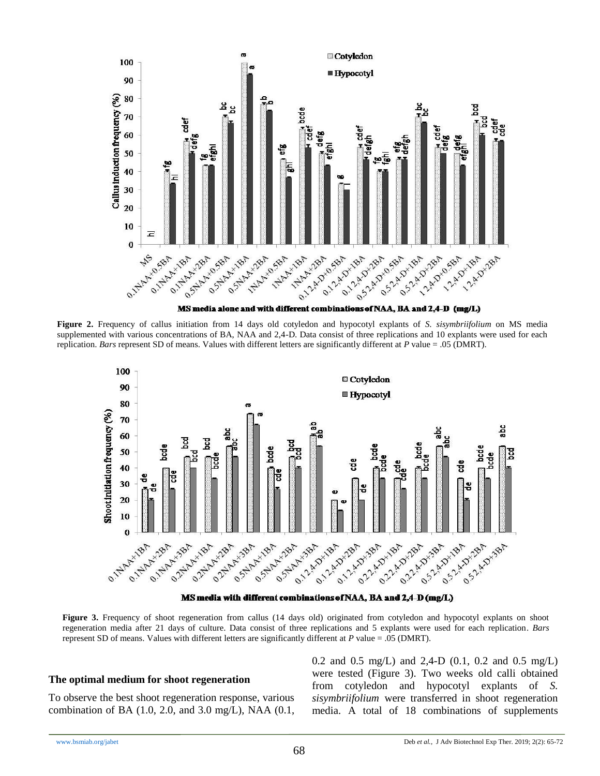

**Figure 2.** Frequency of callus initiation from 14 days old cotyledon and hypocotyl explants of *S. sisymbriifolium* on MS media supplemented with various concentrations of BA, NAA and 2,4-D. Data consist of three replications and 10 explants were used for each replication. *Bars* represent SD of means. Values with different letters are significantly different at *P* value = .05 (DMRT).



MS media with different combinations of NAA, BA and 2,4-D (mg/L)

**Figure 3.** Frequency of shoot regeneration from callus (14 days old) originated from cotyledon and hypocotyl explants on shoot regeneration media after 21 days of culture. Data consist of three replications and 5 explants were used for each replication. *Bars* represent SD of means. Values with different letters are significantly different at *P* value = .05 (DMRT).

#### **The optimal medium for shoot regeneration**

To observe the best shoot regeneration response, various combination of BA (1.0, 2.0, and 3.0 mg/L), NAA (0.1, 0.2 and 0.5 mg/L) and 2,4-D (0.1, 0.2 and 0.5 mg/L) were tested (Figure 3). Two weeks old calli obtained from cotyledon and hypocotyl explants of *S. sisymbriifolium* were transferred in shoot regeneration media. A total of 18 combinations of supplements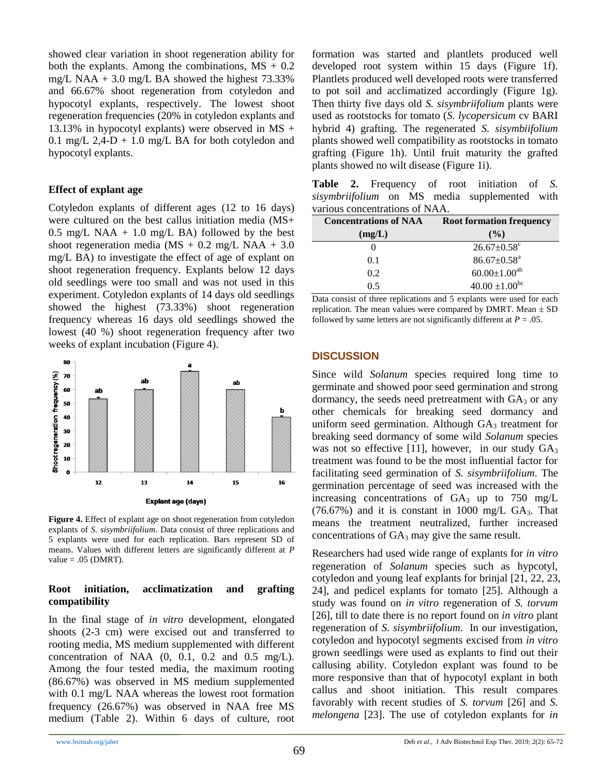showed clear variation in shoot regeneration ability for both the explants. Among the combinations,  $MS + 0.2$ mg/L NAA  $+$  3.0 mg/L BA showed the highest 73.33% and 66.67% shoot regeneration from cotyledon and hypocotyl explants, respectively. The lowest shoot regeneration frequencies (20% in cotyledon explants and 13.13% in hypocotyl explants) were observed in  $MS +$ 0.1 mg/L 2,4-D + 1.0 mg/L BA for both cotyledon and hypocotyl explants.

### **Effect of explant age**

Cotyledon explants of different ages (12 to 16 days) were cultured on the best callus initiation media (MS+ 0.5 mg/L NAA  $+$  1.0 mg/L BA) followed by the best shoot regeneration media (MS + 0.2 mg/L NAA + 3.0) mg/L BA) to investigate the effect of age of explant on shoot regeneration frequency. Explants below 12 days old seedlings were too small and was not used in this experiment. Cotyledon explants of 14 days old seedlings showed the highest (73.33%) shoot regeneration frequency whereas 16 days old seedlings showed the lowest (40 %) shoot regeneration frequency after two weeks of explant incubation (Figure 4).



**Figure 4.** Effect of explant age on shoot regeneration from cotyledon explants of *S. sisymbriifolium*. Data consist of three replications and 5 explants were used for each replication. Bars represent SD of means. Values with different letters are significantly different at *P* value  $= .05$  (DMRT).

### **Root initiation, acclimatization and grafting compatibility**

In the final stage of *in vitro* development, elongated shoots (2-3 cm) were excised out and transferred to rooting media, MS medium supplemented with different concentration of NAA  $(0, 0.1, 0.2$  and  $0.5$  mg/L). Among the four tested media, the maximum rooting (86.67%) was observed in MS medium supplemented with 0.1 mg/L NAA whereas the lowest root formation frequency (26.67%) was observed in NAA free MS medium (Table 2). Within 6 days of culture, root formation was started and plantlets produced well developed root system within 15 days (Figure 1f). Plantlets produced well developed roots were transferred to pot soil and acclimatized accordingly (Figure 1g). Then thirty five days old *S. sisymbriifolium* plants were used as rootstocks for tomato (*S. lycopersicum* cv BARI hybrid 4) grafting. The regenerated *S. sisymbiifolium* plants showed well compatibility as rootstocks in tomato grafting (Figure 1h). Until fruit maturity the grafted plants showed no wilt disease (Figure 1i).

**Table 2.** Frequency of root initiation of *S. sisymbriifolium* on MS media supplemented with various concentrations of NAA.

| <b>Concentrations of NAA</b> | <b>Root formation frequency</b> |
|------------------------------|---------------------------------|
| (mg/L)                       | $($ %)                          |
| $\theta$                     | $26.67 \pm 0.58$ <sup>c</sup>   |
| 0.1                          | $86.67 \pm 0.58$ <sup>a</sup>   |
| 0.2                          | $60.00 \pm 1.00^{ab}$           |
| () 5                         | $40.00 \pm 1.00^{bc}$           |

Data consist of three replications and 5 explants were used for each replication. The mean values were compared by DMRT. Mean  $\pm$  SD followed by same letters are not significantly different at  $P = .05$ .

# **DISCUSSION**

Since wild *Solanum* species required long time to germinate and showed poor seed germination and strong dormancy, the seeds need pretreatment with  $GA<sub>3</sub>$  or any other chemicals for breaking seed dormancy and uniform seed germination. Although  $GA_3$  treatment for breaking seed dormancy of some wild *Solanum* species was not so effective [11], however, in our study  $GA_3$ treatment was found to be the most influential factor for facilitating seed germination of *S. sisymbriifolium*. The germination percentage of seed was increased with the increasing concentrations of  $GA_3$  up to 750 mg/L  $(76.67%)$  and it is constant in 1000 mg/L GA<sub>3</sub>. That means the treatment neutralized, further increased concentrations of  $GA_3$  may give the same result.

Researchers had used wide range of explants for *in vitro* regeneration of *Solanum* species such as hypcotyl, cotyledon and young leaf explants for brinjal [21, 22, 23, 24], and pedicel explants for tomato [25]. Although a study was found on *in vitro* regeneration of *S. torvum*  [26], till to date there is no report found on *in vitro* plant regeneration of *S. sisymbriifolium*. In our investigation, cotyledon and hypocotyl segments excised from *in vitro* grown seedlings were used as explants to find out their callusing ability. Cotyledon explant was found to be more responsive than that of hypocotyl explant in both callus and shoot initiation. This result compares favorably with recent studies of *S. torvum* [26] and *S. melongena* [23]. The use of cotyledon explants for *in*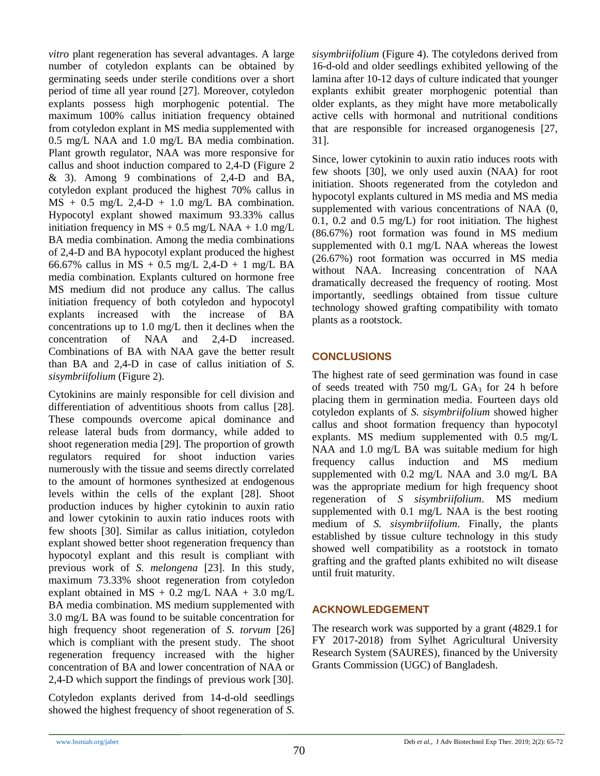*vitro* plant regeneration has several advantages. A large number of cotyledon explants can be obtained by germinating seeds under sterile conditions over a short period of time all year round [27]. Moreover, cotyledon explants possess high morphogenic potential. The maximum 100% callus initiation frequency obtained from cotyledon explant in MS media supplemented with 0.5 mg/L NAA and 1.0 mg/L BA media combination. Plant growth regulator, NAA was more responsive for callus and shoot induction compared to 2,4-D (Figure 2 & 3). Among 9 combinations of 2,4-D and BA, cotyledon explant produced the highest 70% callus in  $MS + 0.5$  mg/L 2,4-D + 1.0 mg/L BA combination. Hypocotyl explant showed maximum 93.33% callus initiation frequency in  $MS + 0.5$  mg/L NAA + 1.0 mg/L BA media combination. Among the media combinations of 2,4-D and BA hypocotyl explant produced the highest 66.67% callus in MS + 0.5 mg/L 2,4-D + 1 mg/L BA media combination. Explants cultured on hormone free MS medium did not produce any callus. The callus initiation frequency of both cotyledon and hypocotyl explants increased with the increase of BA concentrations up to 1.0 mg/L then it declines when the concentration of NAA and 2,4-D increased. Combinations of BA with NAA gave the better result than BA and 2,4-D in case of callus initiation of *S. sisymbriifolium* (Figure 2).

Cytokinins are mainly responsible for cell division and differentiation of adventitious shoots from callus [28]. These compounds overcome apical dominance and release lateral buds from dormancy, while added to shoot regeneration media [29]. The proportion of growth regulators required for shoot induction varies numerously with the tissue and seems directly correlated to the amount of hormones synthesized at endogenous levels within the cells of the explant [28]. Shoot production induces by higher cytokinin to auxin ratio and lower cytokinin to auxin ratio induces roots with few shoots [30]. Similar as callus initiation, cotyledon explant showed better shoot regeneration frequency than hypocotyl explant and this result is compliant with previous work of *S. melongena* [23]. In this study, maximum 73.33% shoot regeneration from cotyledon explant obtained in  $MS + 0.2$  mg/L NAA + 3.0 mg/L BA media combination. MS medium supplemented with 3.0 mg/L BA was found to be suitable concentration for high frequency shoot regeneration of *S. torvum* [26] which is compliant with the present study. The shoot regeneration frequency increased with the higher concentration of BA and lower concentration of NAA or 2,4-D which support the findings of previous work [30].

Cotyledon explants derived from 14-d-old seedlings showed the highest frequency of shoot regeneration of *S.* 

*sisymbriifolium* (Figure 4). The cotyledons derived from 16-d-old and older seedlings exhibited yellowing of the lamina after 10-12 days of culture indicated that younger explants exhibit greater morphogenic potential than older explants, as they might have more metabolically active cells with hormonal and nutritional conditions that are responsible for increased organogenesis [27, 31].

Since, lower cytokinin to auxin ratio induces roots with few shoots [30], we only used auxin (NAA) for root initiation. Shoots regenerated from the cotyledon and hypocotyl explants cultured in MS media and MS media supplemented with various concentrations of NAA (0, 0.1, 0.2 and 0.5 mg/L) for root initiation. The highest (86.67%) root formation was found in MS medium supplemented with 0.1 mg/L NAA whereas the lowest (26.67%) root formation was occurred in MS media without NAA. Increasing concentration of NAA dramatically decreased the frequency of rooting. Most importantly, seedlings obtained from tissue culture technology showed grafting compatibility with tomato plants as a rootstock.

# **CONCLUSIONS**

The highest rate of seed germination was found in case of seeds treated with 750 mg/L  $GA_3$  for 24 h before placing them in germination media. Fourteen days old cotyledon explants of *S. sisymbriifolium* showed higher callus and shoot formation frequency than hypocotyl explants. MS medium supplemented with 0.5 mg/L NAA and 1.0 mg/L BA was suitable medium for high frequency callus induction and MS medium supplemented with 0.2 mg/L NAA and 3.0 mg/L BA was the appropriate medium for high frequency shoot regeneration of *S sisymbriifolium*. MS medium supplemented with 0.1 mg/L NAA is the best rooting medium of *S. sisymbriifolium*. Finally, the plants established by tissue culture technology in this study showed well compatibility as a rootstock in tomato grafting and the grafted plants exhibited no wilt disease until fruit maturity.

# **ACKNOWLEDGEMENT**

The research work was supported by a grant (4829.1 for FY 2017-2018) from Sylhet Agricultural University Research System (SAURES), financed by the University Grants Commission (UGC) of Bangladesh.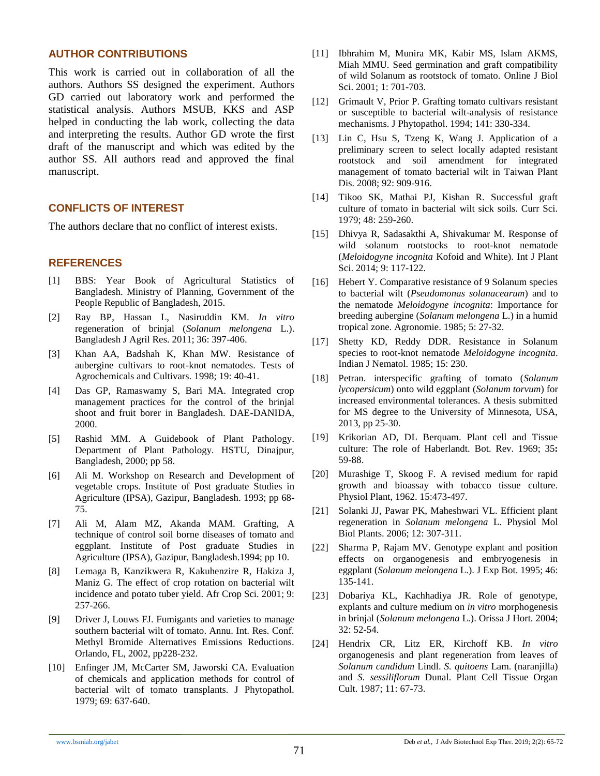### **AUTHOR CONTRIBUTIONS**

This work is carried out in collaboration of all the authors. Authors SS designed the experiment. Authors GD carried out laboratory work and performed the statistical analysis. Authors MSUB, KKS and ASP helped in conducting the lab work, collecting the data and interpreting the results. Author GD wrote the first draft of the manuscript and which was edited by the author SS. All authors read and approved the final manuscript.

### **CONFLICTS OF INTEREST**

The authors declare that no conflict of interest exists.

# **REFERENCES**

- [1] BBS: Year Book of Agricultural Statistics of Bangladesh. Ministry of Planning, Government of the People Republic of Bangladesh, 2015.
- [2] Ray BP, Hassan L, Nasiruddin KM. *In vitro* regeneration of brinjal (*Solanum melongena* L.). Bangladesh J Agril Res. 2011; 36: 397-406.
- [3] Khan AA, Badshah K, Khan MW. Resistance of aubergine cultivars to root-knot nematodes. Tests of Agrochemicals and Cultivars. 1998; 19: 40-41.
- [4] Das GP, Ramaswamy S, Bari MA. Integrated crop management practices for the control of the brinjal shoot and fruit borer in Bangladesh. DAE-DANIDA, 2000.
- [5] Rashid MM. A Guidebook of Plant Pathology. Department of Plant Pathology. HSTU, Dinajpur, Bangladesh, 2000; pp 58.
- [6] Ali M. Workshop on Research and Development of vegetable crops. Institute of Post graduate Studies in Agriculture (IPSA), Gazipur, Bangladesh. 1993; pp 68- 75.
- [7] Ali M, Alam MZ, Akanda MAM. Grafting, A technique of control soil borne diseases of tomato and eggplant. Institute of Post graduate Studies in Agriculture (IPSA), Gazipur, Bangladesh.1994; pp 10.
- [8] Lemaga B, Kanzikwera R, Kakuhenzire R, Hakiza J, Maniz G. The effect of crop rotation on bacterial wilt incidence and potato tuber yield. Afr Crop Sci. 2001; 9: 257-266.
- [9] Driver J, Louws FJ. Fumigants and varieties to manage southern bacterial wilt of tomato. Annu. Int. Res. Conf. Methyl Bromide Alternatives Emissions Reductions. Orlando, FL, 2002, pp228-232.
- [10] Enfinger JM, McCarter SM, Jaworski CA. Evaluation of chemicals and application methods for control of bacterial wilt of tomato transplants. J Phytopathol. 1979; 69: 637-640.
- [11] Ibhrahim M, Munira MK, Kabir MS, Islam AKMS, Miah MMU. Seed germination and graft compatibility of wild Solanum as rootstock of tomato. Online J Biol Sci. 2001; 1: 701-703.
- [12] Grimault V, Prior P. Grafting tomato cultivars resistant or susceptible to bacterial wilt-analysis of resistance mechanisms. J Phytopathol. 1994; 141: 330-334.
- [13] Lin C, Hsu S, Tzeng K, Wang J. Application of a preliminary screen to select locally adapted resistant rootstock and soil amendment for integrated management of tomato bacterial wilt in Taiwan Plant Dis. 2008; 92: 909-916.
- [14] Tikoo SK, Mathai PJ, Kishan R. Successful graft culture of tomato in bacterial wilt sick soils. Curr Sci. 1979; 48: 259-260.
- [15] Dhivya R, Sadasakthi A, Shivakumar M. Response of wild solanum rootstocks to root-knot nematode (*Meloidogyne incognita* Kofoid and White). Int J Plant Sci. 2014; 9: 117-122.
- [16] Hebert Y. Comparative resistance of 9 Solanum species to bacterial wilt (*Pseudomonas solanacearum*) and to the nematode *Meloidogyne incognita*: Importance for breeding aubergine (*Solanum melongena* L.) in a humid tropical zone. Agronomie. 1985; 5: 27-32.
- [17] Shetty KD, Reddy DDR. Resistance in Solanum species to root-knot nematode *Meloidogyne incognita*. Indian J Nematol. 1985; 15: 230.
- [18] Petran. interspecific grafting of tomato (*Solanum lycopersicum*) onto wild eggplant (*Solanum torvum*) for increased environmental tolerances. A thesis submitted for MS degree to the University of Minnesota, USA, 2013, pp 25-30.
- [19] Krikorian AD, DL Berquam. Plant cell and Tissue culture: The role of Haberlandt. Bot. Rev. 1969; 35**:**  59-88.
- [20] Murashige T, Skoog F. A revised medium for rapid growth and bioassay with tobacco tissue culture. Physiol Plant, 1962. 15:473-497.
- [21] Solanki JJ, Pawar PK, Maheshwari VL. Efficient plant regeneration in *Solanum melongena* L. Physiol Mol Biol Plants. 2006; 12: 307-311.
- [22] Sharma P, Rajam MV. Genotype explant and position effects on organogenesis and embryogenesis in eggplant (*Solanum melongena* L.). J Exp Bot. 1995; 46: 135-141.
- [23] Dobariya KL, Kachhadiya JR. Role of genotype, explants and culture medium on *in vitro* morphogenesis in brinjal (*Solanum melongena* L.). Orissa J Hort. 2004; 32: 52-54.
- [24] Hendrix CR, Litz ER, Kirchoff KB. *In vitro*  organogenesis and plant regeneration from leaves of *Solanum candidum* Lindl. *S. quitoens* Lam. (naranjilla) and *S. sessiliflorum* Dunal. Plant Cell Tissue Organ Cult. 1987; 11: 67-73.